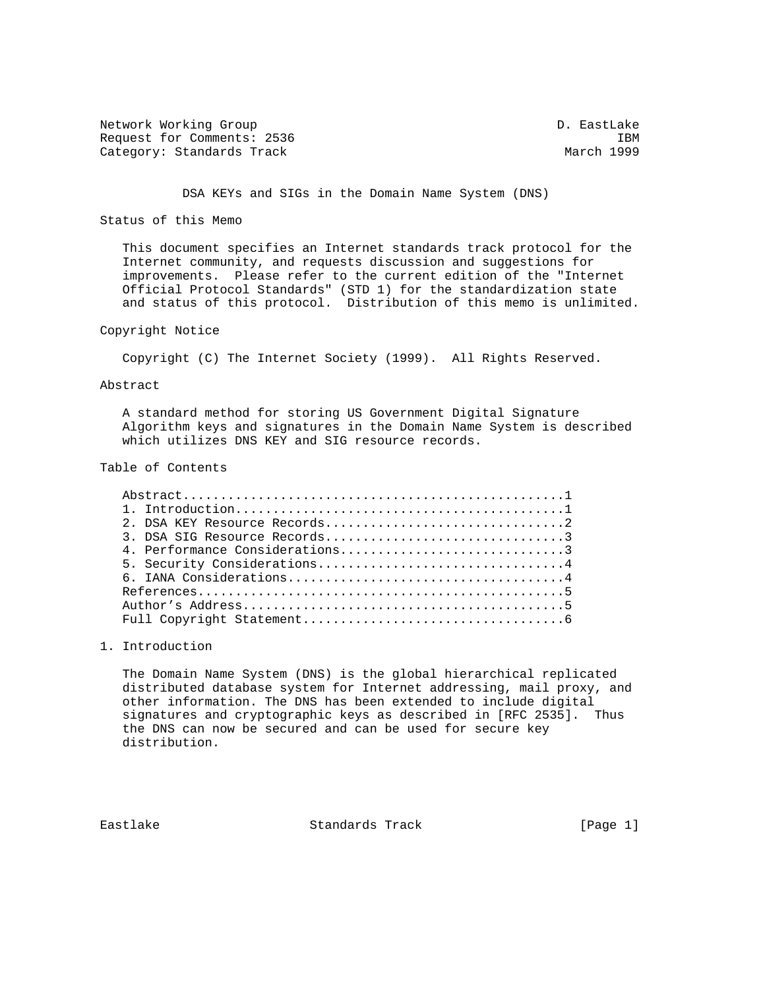Network Working Group and the control of the control of the D. EastLake Request for Comments: 2536 IBM<br>Category: Standards Track Category: March 1999 Category: Standards Track

DSA KEYs and SIGs in the Domain Name System (DNS)

Status of this Memo

 This document specifies an Internet standards track protocol for the Internet community, and requests discussion and suggestions for improvements. Please refer to the current edition of the "Internet Official Protocol Standards" (STD 1) for the standardization state and status of this protocol. Distribution of this memo is unlimited.

Copyright Notice

Copyright (C) The Internet Society (1999). All Rights Reserved.

Abstract

 A standard method for storing US Government Digital Signature Algorithm keys and signatures in the Domain Name System is described which utilizes DNS KEY and SIG resource records.

Table of Contents

| 3. DSA SIG Resource Records3   |
|--------------------------------|
| 4. Performance Considerations3 |
| 5. Security Considerations4    |
|                                |
|                                |
|                                |
|                                |

1. Introduction

 The Domain Name System (DNS) is the global hierarchical replicated distributed database system for Internet addressing, mail proxy, and other information. The DNS has been extended to include digital signatures and cryptographic keys as described in [RFC 2535]. Thus the DNS can now be secured and can be used for secure key distribution.

Eastlake Standards Track [Page 1]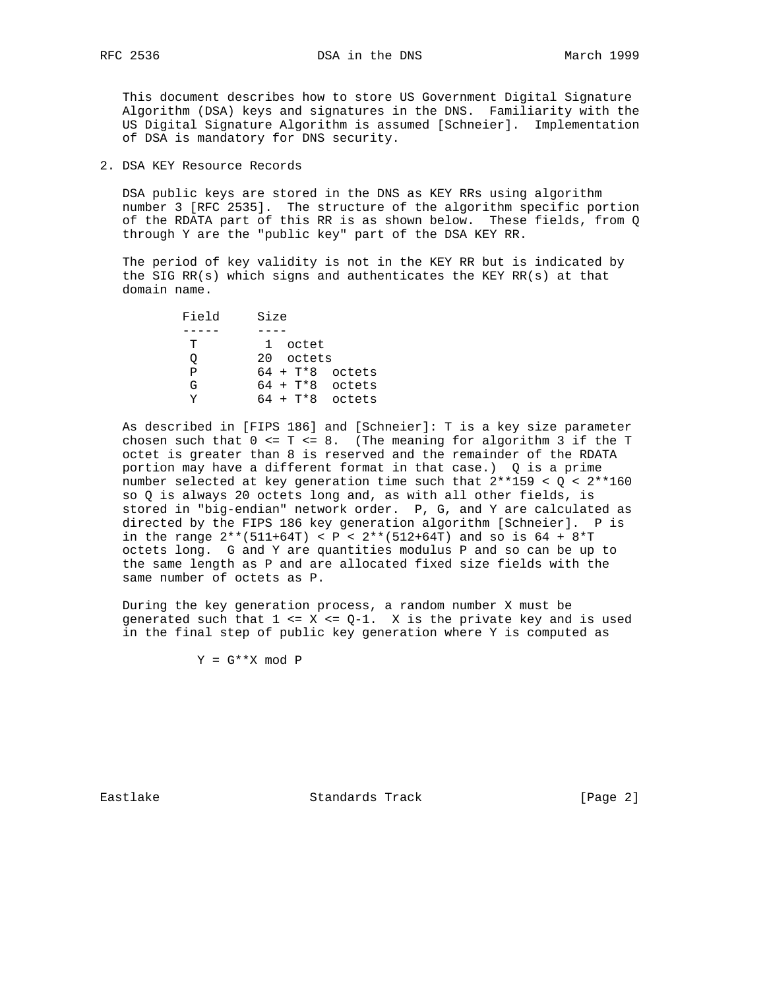This document describes how to store US Government Digital Signature Algorithm (DSA) keys and signatures in the DNS. Familiarity with the US Digital Signature Algorithm is assumed [Schneier]. Implementation of DSA is mandatory for DNS security.

2. DSA KEY Resource Records

 DSA public keys are stored in the DNS as KEY RRs using algorithm number 3 [RFC 2535]. The structure of the algorithm specific portion of the RDATA part of this RR is as shown below. These fields, from Q through Y are the "public key" part of the DSA KEY RR.

 The period of key validity is not in the KEY RR but is indicated by the SIG RR(s) which signs and authenticates the KEY RR(s) at that domain name.

| Field | Size |                   |        |
|-------|------|-------------------|--------|
|       |      |                   |        |
| T     |      | 1 octet           |        |
|       |      | 20 octets         |        |
| P     |      | $64 + T*8$ octets |        |
| G     |      | $64 + T*8$ octets |        |
|       |      | 64 + T*8          | octets |

 As described in [FIPS 186] and [Schneier]: T is a key size parameter chosen such that  $0 \leq T \leq 8$ . (The meaning for algorithm 3 if the T octet is greater than 8 is reserved and the remainder of the RDATA portion may have a different format in that case.) Q is a prime number selected at key generation time such that 2\*\*159 < Q < 2\*\*160 so Q is always 20 octets long and, as with all other fields, is stored in "big-endian" network order. P, G, and Y are calculated as directed by the FIPS 186 key generation algorithm [Schneier]. P is in the range  $2**$  (511+64T) < P <  $2**$  (512+64T) and so is 64 + 8\*T octets long. G and Y are quantities modulus P and so can be up to the same length as P and are allocated fixed size fields with the same number of octets as P.

 During the key generation process, a random number X must be generated such that  $1 \leq X \leq Q-1$ . X is the private key and is used in the final step of public key generation where Y is computed as

 $Y = G***X \mod P$ 

Eastlake Standards Track [Page 2]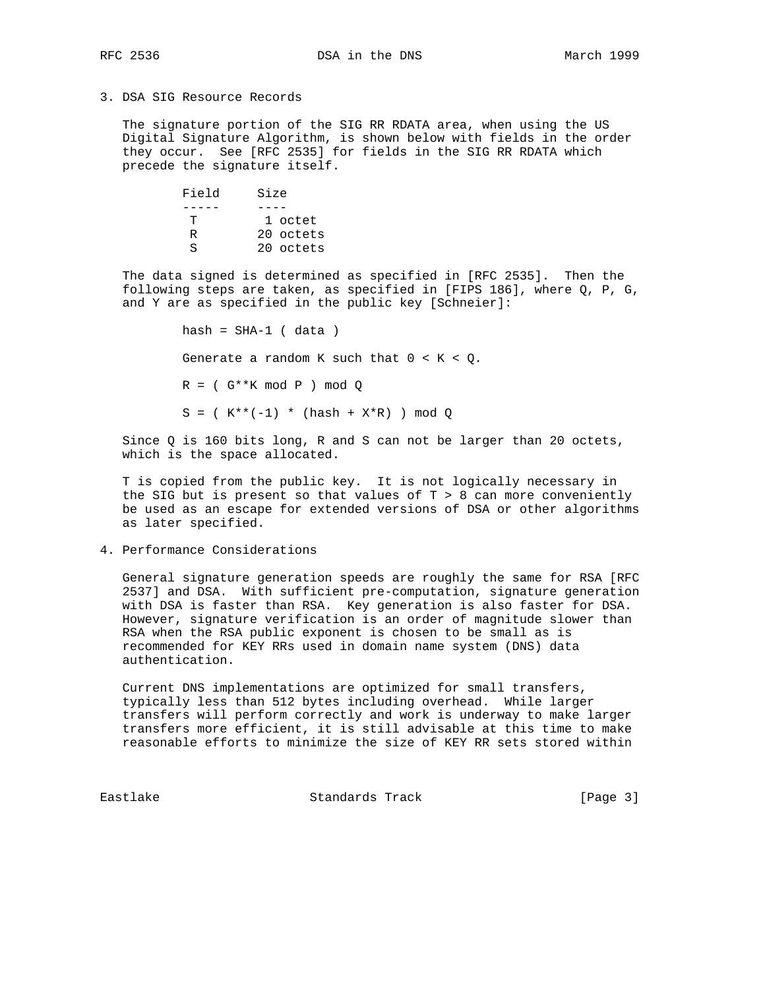## 3. DSA SIG Resource Records

 The signature portion of the SIG RR RDATA area, when using the US Digital Signature Algorithm, is shown below with fields in the order they occur. See [RFC 2535] for fields in the SIG RR RDATA which precede the signature itself.

> Field Size<br>---- ---- ----- ---- T 1 octet R 20 octets S 20 octets

 The data signed is determined as specified in [RFC 2535]. Then the following steps are taken, as specified in [FIPS 186], where Q, P, G, and Y are as specified in the public key [Schneier]:

> $hash = SHA-1 (data)$ Generate a random K such that  $0 < K < Q$ .  $R = (G**K \mod P) \mod Q$  $S = ( K^{**}(-1) * (hash + X*R) ) mod Q$

 Since Q is 160 bits long, R and S can not be larger than 20 octets, which is the space allocated.

 T is copied from the public key. It is not logically necessary in the SIG but is present so that values of  $T > 8$  can more conveniently be used as an escape for extended versions of DSA or other algorithms as later specified.

4. Performance Considerations

 General signature generation speeds are roughly the same for RSA [RFC 2537] and DSA. With sufficient pre-computation, signature generation with DSA is faster than RSA. Key generation is also faster for DSA. However, signature verification is an order of magnitude slower than RSA when the RSA public exponent is chosen to be small as is recommended for KEY RRs used in domain name system (DNS) data authentication.

 Current DNS implementations are optimized for small transfers, typically less than 512 bytes including overhead. While larger transfers will perform correctly and work is underway to make larger transfers more efficient, it is still advisable at this time to make reasonable efforts to minimize the size of KEY RR sets stored within

Eastlake Standards Track [Page 3]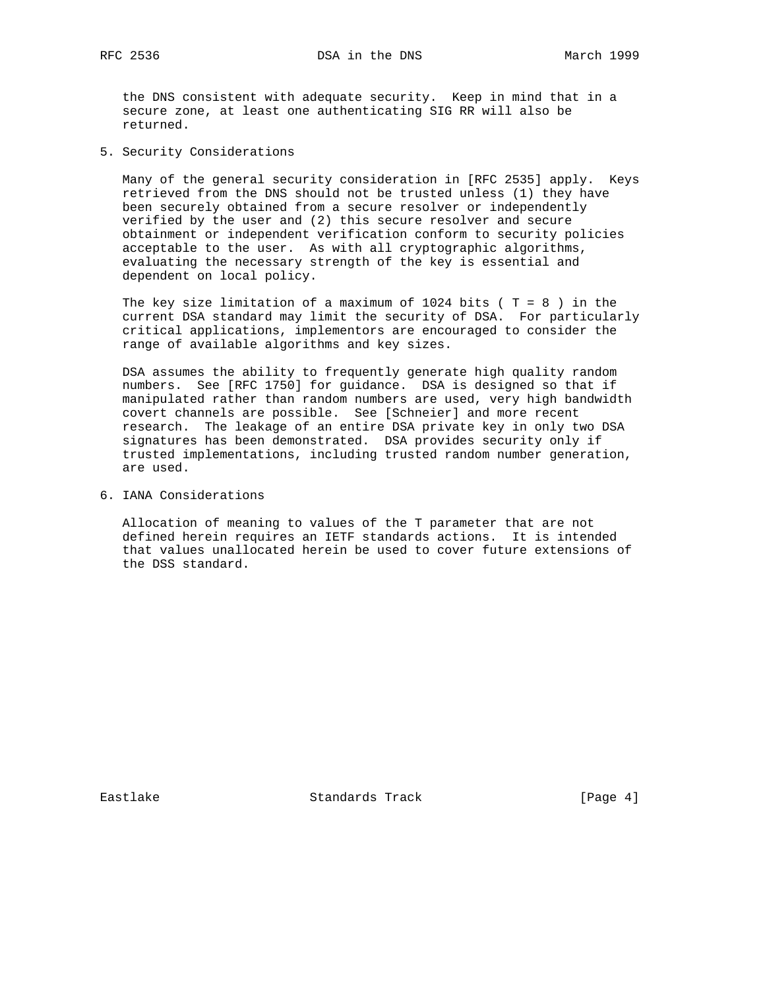the DNS consistent with adequate security. Keep in mind that in a secure zone, at least one authenticating SIG RR will also be returned.

5. Security Considerations

 Many of the general security consideration in [RFC 2535] apply. Keys retrieved from the DNS should not be trusted unless (1) they have been securely obtained from a secure resolver or independently verified by the user and (2) this secure resolver and secure obtainment or independent verification conform to security policies acceptable to the user. As with all cryptographic algorithms, evaluating the necessary strength of the key is essential and dependent on local policy.

The key size limitation of a maximum of 1024 bits ( $T = 8$ ) in the current DSA standard may limit the security of DSA. For particularly critical applications, implementors are encouraged to consider the range of available algorithms and key sizes.

 DSA assumes the ability to frequently generate high quality random numbers. See [RFC 1750] for guidance. DSA is designed so that if manipulated rather than random numbers are used, very high bandwidth covert channels are possible. See [Schneier] and more recent research. The leakage of an entire DSA private key in only two DSA signatures has been demonstrated. DSA provides security only if trusted implementations, including trusted random number generation, are used.

6. IANA Considerations

 Allocation of meaning to values of the T parameter that are not defined herein requires an IETF standards actions. It is intended that values unallocated herein be used to cover future extensions of the DSS standard.

Eastlake Standards Track [Page 4]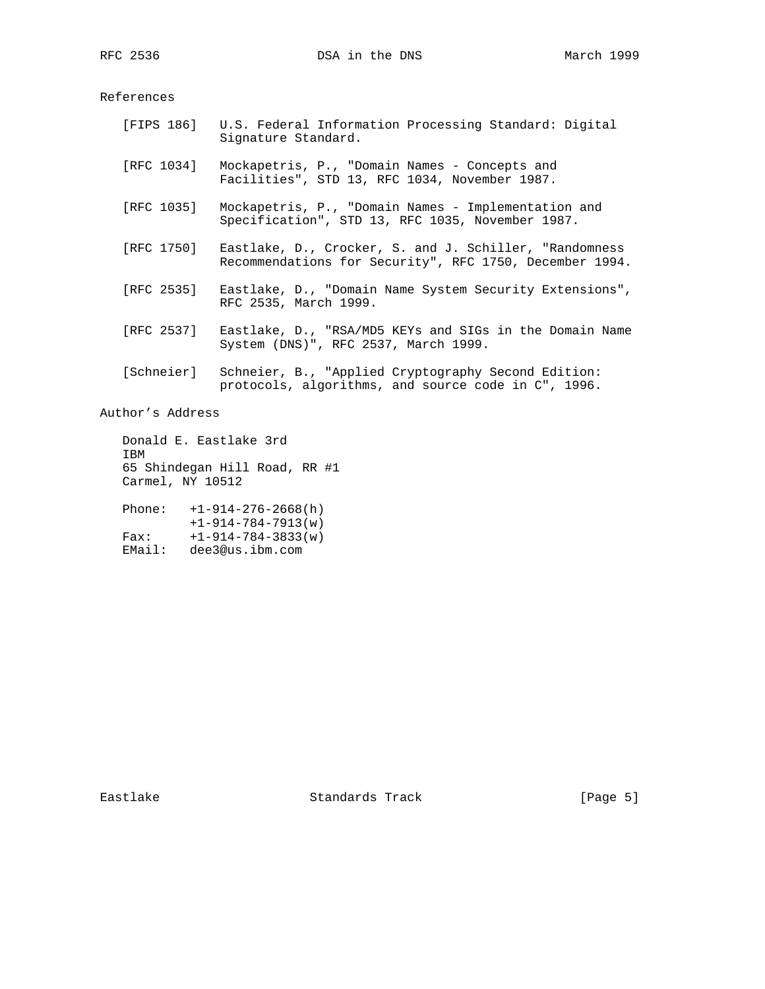References

 [FIPS 186] U.S. Federal Information Processing Standard: Digital Signature Standard. [RFC 1034] Mockapetris, P., "Domain Names - Concepts and Facilities", STD 13, RFC 1034, November 1987. [RFC 1035] Mockapetris, P., "Domain Names - Implementation and Specification", STD 13, RFC 1035, November 1987. [RFC 1750] Eastlake, D., Crocker, S. and J. Schiller, "Randomness Recommendations for Security", RFC 1750, December 1994. [RFC 2535] Eastlake, D., "Domain Name System Security Extensions", RFC 2535, March 1999. [RFC 2537] Eastlake, D., "RSA/MD5 KEYs and SIGs in the Domain Name System (DNS)", RFC 2537, March 1999. [Schneier] Schneier, B., "Applied Cryptography Second Edition: protocols, algorithms, and source code in C", 1996. Author's Address

 Donald E. Eastlake 3rd IBM 65 Shindegan Hill Road, RR #1 Carmel, NY 10512 Phone: +1-914-276-2668(h) +1-914-784-7913(w)

 Fax: +1-914-784-3833(w) EMail: dee3@us.ibm.com

Eastlake Standards Track [Page 5]